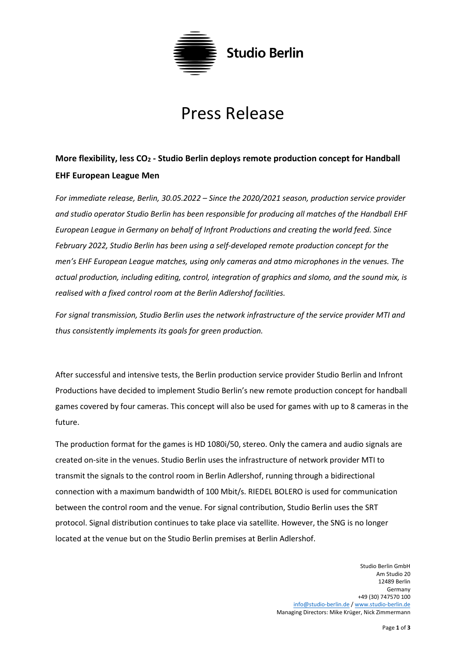

## Press Release

## **More flexibility, less CO<sup>2</sup> - Studio Berlin deploys remote production concept for Handball EHF European League Men**

*For immediate release, Berlin, 30.05.2022 – Since the 2020/2021 season, production service provider and studio operator Studio Berlin has been responsible for producing all matches of the Handball EHF European League in Germany on behalf of Infront Productions and creating the world feed. Since February 2022, Studio Berlin has been using a self-developed remote production concept for the men's EHF European League matches, using only cameras and atmo microphones in the venues. The actual production, including editing, control, integration of graphics and slomo, and the sound mix, is realised with a fixed control room at the Berlin Adlershof facilities.*

*For signal transmission, Studio Berlin uses the network infrastructure of the service provider MTI and thus consistently implements its goals for green production.*

After successful and intensive tests, the Berlin production service provider Studio Berlin and Infront Productions have decided to implement Studio Berlin's new remote production concept for handball games covered by four cameras. This concept will also be used for games with up to 8 cameras in the future.

The production format for the games is HD 1080i/50, stereo. Only the camera and audio signals are created on-site in the venues. Studio Berlin uses the infrastructure of network provider MTI to transmit the signals to the control room in Berlin Adlershof, running through a bidirectional connection with a maximum bandwidth of 100 Mbit/s. RIEDEL BOLERO is used for communication between the control room and the venue. For signal contribution, Studio Berlin uses the SRT protocol. Signal distribution continues to take place via satellite. However, the SNG is no longer located at the venue but on the Studio Berlin premises at Berlin Adlershof.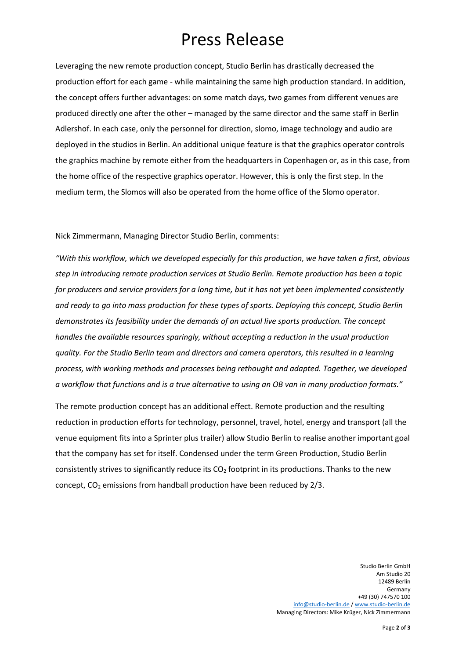## Press Release

Leveraging the new remote production concept, Studio Berlin has drastically decreased the production effort for each game - while maintaining the same high production standard. In addition, the concept offers further advantages: on some match days, two games from different venues are produced directly one after the other – managed by the same director and the same staff in Berlin Adlershof. In each case, only the personnel for direction, slomo, image technology and audio are deployed in the studios in Berlin. An additional unique feature is that the graphics operator controls the graphics machine by remote either from the headquarters in Copenhagen or, as in this case, from the home office of the respective graphics operator. However, this is only the first step. In the medium term, the Slomos will also be operated from the home office of the Slomo operator.

Nick Zimmermann, Managing Director Studio Berlin, comments:

*"With this workflow, which we developed especially for this production, we have taken a first, obvious step in introducing remote production services at Studio Berlin. Remote production has been a topic for producers and service providers for a long time, but it has not yet been implemented consistently and ready to go into mass production for these types of sports. Deploying this concept, Studio Berlin demonstrates its feasibility under the demands of an actual live sports production. The concept handles the available resources sparingly, without accepting a reduction in the usual production quality. For the Studio Berlin team and directors and camera operators, this resulted in a learning process, with working methods and processes being rethought and adapted. Together, we developed a workflow that functions and is a true alternative to using an OB van in many production formats."*

The remote production concept has an additional effect. Remote production and the resulting reduction in production efforts for technology, personnel, travel, hotel, energy and transport (all the venue equipment fits into a Sprinter plus trailer) allow Studio Berlin to realise another important goal that the company has set for itself. Condensed under the term Green Production, Studio Berlin consistently strives to significantly reduce its  $CO<sub>2</sub>$  footprint in its productions. Thanks to the new concept,  $CO<sub>2</sub>$  emissions from handball production have been reduced by 2/3.

> Studio Berlin GmbH Am Studio 20 12489 Berlin Germany +49 (30) 747570 100 [info@studio-berlin.de](mailto:info@studio-berlin.de) [/ www.studio-berlin.de](http://www.studio-berlin.de/) Managing Directors: Mike Krüger, Nick Zimmermann